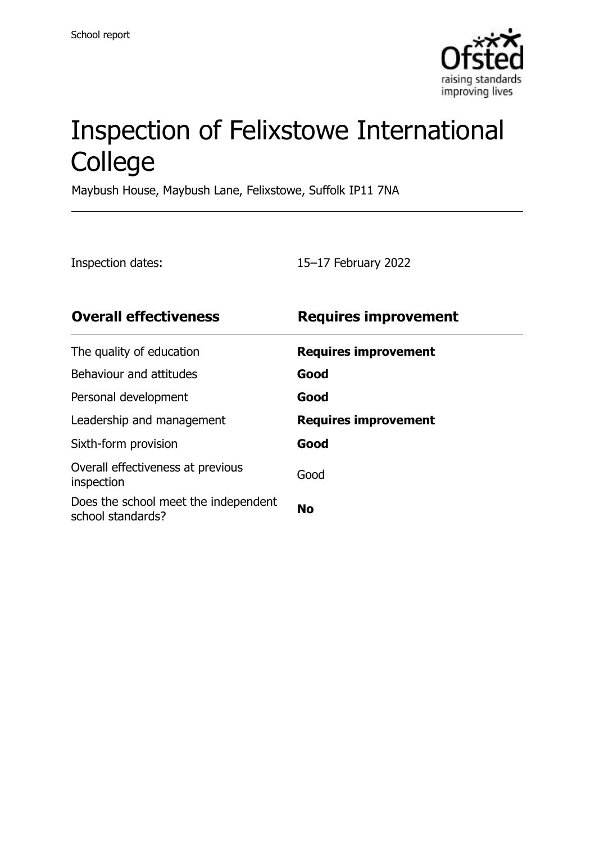

# Inspection of Felixstowe International College

Maybush House, Maybush Lane, Felixstowe, Suffolk IP11 7NA

Inspection dates: 15–17 February 2022

| <b>Overall effectiveness</b>                              | <b>Requires improvement</b> |
|-----------------------------------------------------------|-----------------------------|
| The quality of education                                  | <b>Requires improvement</b> |
| Behaviour and attitudes                                   | Good                        |
| Personal development                                      | Good                        |
| Leadership and management                                 | <b>Requires improvement</b> |
| Sixth-form provision                                      | Good                        |
| Overall effectiveness at previous<br>inspection           | Good                        |
| Does the school meet the independent<br>school standards? | <b>No</b>                   |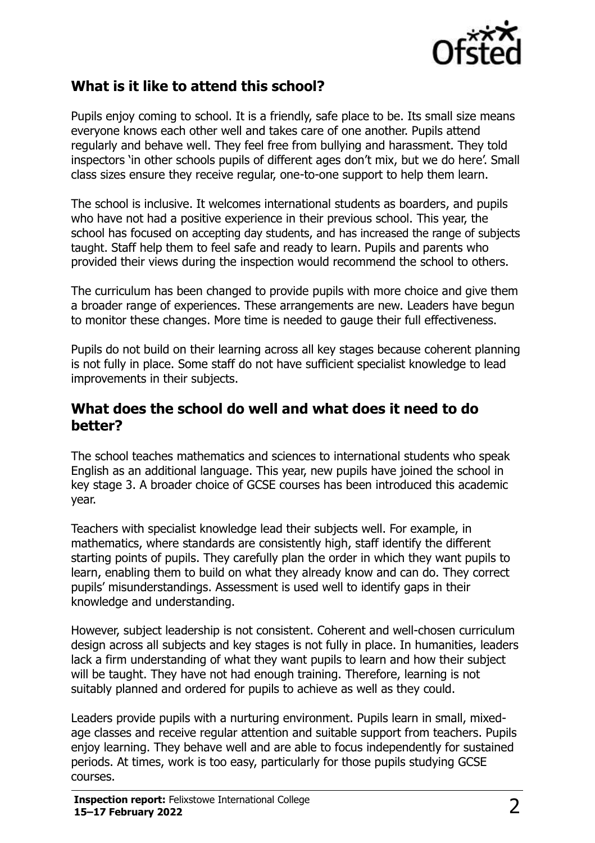

#### **What is it like to attend this school?**

Pupils enjoy coming to school. It is a friendly, safe place to be. Its small size means everyone knows each other well and takes care of one another. Pupils attend regularly and behave well. They feel free from bullying and harassment. They told inspectors 'in other schools pupils of different ages don't mix, but we do here'. Small class sizes ensure they receive regular, one-to-one support to help them learn.

The school is inclusive. It welcomes international students as boarders, and pupils who have not had a positive experience in their previous school. This year, the school has focused on accepting day students, and has increased the range of subjects taught. Staff help them to feel safe and ready to learn. Pupils and parents who provided their views during the inspection would recommend the school to others.

The curriculum has been changed to provide pupils with more choice and give them a broader range of experiences. These arrangements are new. Leaders have begun to monitor these changes. More time is needed to gauge their full effectiveness.

Pupils do not build on their learning across all key stages because coherent planning is not fully in place. Some staff do not have sufficient specialist knowledge to lead improvements in their subjects.

#### **What does the school do well and what does it need to do better?**

The school teaches mathematics and sciences to international students who speak English as an additional language. This year, new pupils have joined the school in key stage 3. A broader choice of GCSE courses has been introduced this academic year.

Teachers with specialist knowledge lead their subjects well. For example, in mathematics, where standards are consistently high, staff identify the different starting points of pupils. They carefully plan the order in which they want pupils to learn, enabling them to build on what they already know and can do. They correct pupils' misunderstandings. Assessment is used well to identify gaps in their knowledge and understanding.

However, subject leadership is not consistent. Coherent and well-chosen curriculum design across all subjects and key stages is not fully in place. In humanities, leaders lack a firm understanding of what they want pupils to learn and how their subject will be taught. They have not had enough training. Therefore, learning is not suitably planned and ordered for pupils to achieve as well as they could.

Leaders provide pupils with a nurturing environment. Pupils learn in small, mixedage classes and receive regular attention and suitable support from teachers. Pupils enjoy learning. They behave well and are able to focus independently for sustained periods. At times, work is too easy, particularly for those pupils studying GCSE courses.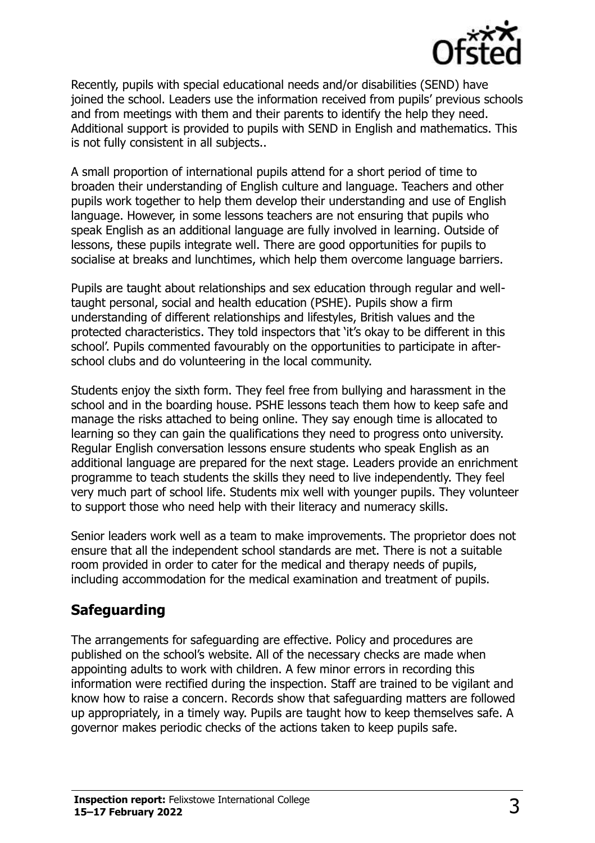

Recently, pupils with special educational needs and/or disabilities (SEND) have joined the school. Leaders use the information received from pupils' previous schools and from meetings with them and their parents to identify the help they need. Additional support is provided to pupils with SEND in English and mathematics. This is not fully consistent in all subjects..

A small proportion of international pupils attend for a short period of time to broaden their understanding of English culture and language. Teachers and other pupils work together to help them develop their understanding and use of English language. However, in some lessons teachers are not ensuring that pupils who speak English as an additional language are fully involved in learning. Outside of lessons, these pupils integrate well. There are good opportunities for pupils to socialise at breaks and lunchtimes, which help them overcome language barriers.

Pupils are taught about relationships and sex education through regular and welltaught personal, social and health education (PSHE). Pupils show a firm understanding of different relationships and lifestyles, British values and the protected characteristics. They told inspectors that 'it's okay to be different in this school'. Pupils commented favourably on the opportunities to participate in afterschool clubs and do volunteering in the local community.

Students enjoy the sixth form. They feel free from bullying and harassment in the school and in the boarding house. PSHE lessons teach them how to keep safe and manage the risks attached to being online. They say enough time is allocated to learning so they can gain the qualifications they need to progress onto university. Regular English conversation lessons ensure students who speak English as an additional language are prepared for the next stage. Leaders provide an enrichment programme to teach students the skills they need to live independently. They feel very much part of school life. Students mix well with younger pupils. They volunteer to support those who need help with their literacy and numeracy skills.

Senior leaders work well as a team to make improvements. The proprietor does not ensure that all the independent school standards are met. There is not a suitable room provided in order to cater for the medical and therapy needs of pupils, including accommodation for the medical examination and treatment of pupils.

## **Safeguarding**

The arrangements for safeguarding are effective. Policy and procedures are published on the school's website. All of the necessary checks are made when appointing adults to work with children. A few minor errors in recording this information were rectified during the inspection. Staff are trained to be vigilant and know how to raise a concern. Records show that safeguarding matters are followed up appropriately, in a timely way. Pupils are taught how to keep themselves safe. A governor makes periodic checks of the actions taken to keep pupils safe.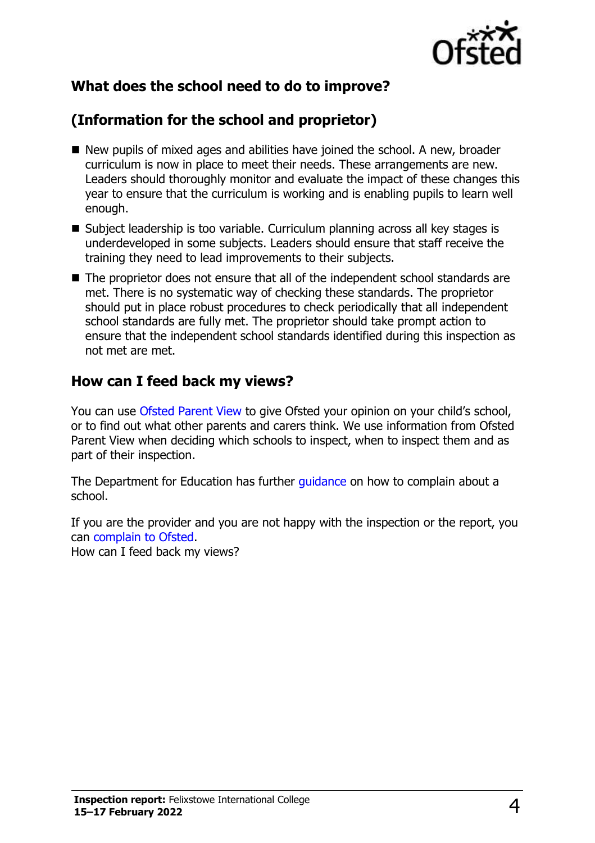

## **What does the school need to do to improve?**

## **(Information for the school and proprietor)**

- New pupils of mixed ages and abilities have joined the school. A new, broader curriculum is now in place to meet their needs. These arrangements are new. Leaders should thoroughly monitor and evaluate the impact of these changes this year to ensure that the curriculum is working and is enabling pupils to learn well enough.
- Subject leadership is too variable. Curriculum planning across all key stages is underdeveloped in some subjects. Leaders should ensure that staff receive the training they need to lead improvements to their subjects.
- The proprietor does not ensure that all of the independent school standards are met. There is no systematic way of checking these standards. The proprietor should put in place robust procedures to check periodically that all independent school standards are fully met. The proprietor should take prompt action to ensure that the independent school standards identified during this inspection as not met are met.

#### **How can I feed back my views?**

You can use [Ofsted Parent View](http://www.parentview.ofsted.gov.uk/) to give Ofsted your opinion on your child's school, or to find out what other parents and carers think. We use information from Ofsted Parent View when deciding which schools to inspect, when to inspect them and as part of their inspection.

The Department for Education has further quidance on how to complain about a school.

If you are the provider and you are not happy with the inspection or the report, you can [complain to Ofsted.](https://www.gov.uk/complain-ofsted-report) How can I feed back my views?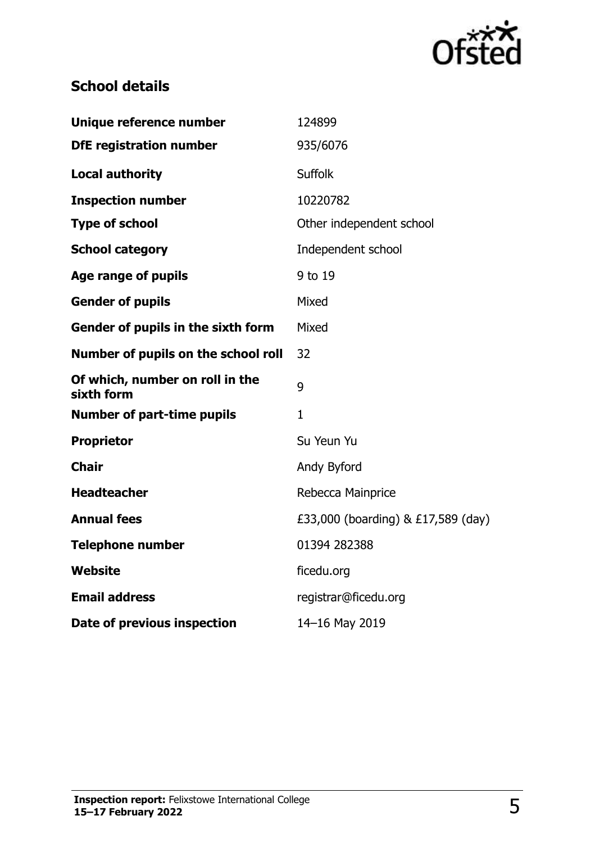

## **School details**

| Unique reference number                       | 124899                             |
|-----------------------------------------------|------------------------------------|
| <b>DfE registration number</b>                | 935/6076                           |
| <b>Local authority</b>                        | <b>Suffolk</b>                     |
| <b>Inspection number</b>                      | 10220782                           |
| <b>Type of school</b>                         | Other independent school           |
| <b>School category</b>                        | Independent school                 |
| <b>Age range of pupils</b>                    | 9 to 19                            |
| <b>Gender of pupils</b>                       | Mixed                              |
| Gender of pupils in the sixth form            | Mixed                              |
| Number of pupils on the school roll           | 32                                 |
| Of which, number on roll in the<br>sixth form | 9                                  |
| <b>Number of part-time pupils</b>             | $\mathbf{1}$                       |
| <b>Proprietor</b>                             | Su Yeun Yu                         |
| <b>Chair</b>                                  | Andy Byford                        |
| <b>Headteacher</b>                            | Rebecca Mainprice                  |
| <b>Annual fees</b>                            | £33,000 (boarding) & £17,589 (day) |
| <b>Telephone number</b>                       | 01394 282388                       |
| <b>Website</b>                                | ficedu.org                         |
| <b>Email address</b>                          | registrar@ficedu.org               |
| Date of previous inspection                   | 14-16 May 2019                     |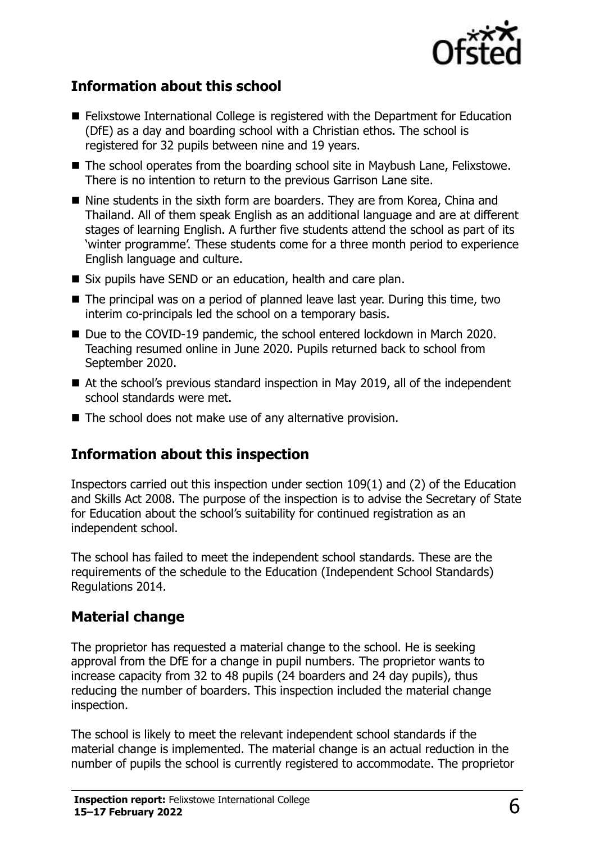

#### **Information about this school**

- Felixstowe International College is registered with the Department for Education (DfE) as a day and boarding school with a Christian ethos. The school is registered for 32 pupils between nine and 19 years.
- The school operates from the boarding school site in Maybush Lane, Felixstowe. There is no intention to return to the previous Garrison Lane site.
- Nine students in the sixth form are boarders. They are from Korea, China and Thailand. All of them speak English as an additional language and are at different stages of learning English. A further five students attend the school as part of its 'winter programme'. These students come for a three month period to experience English language and culture.
- Six pupils have SEND or an education, health and care plan.
- The principal was on a period of planned leave last year. During this time, two interim co-principals led the school on a temporary basis.
- Due to the COVID-19 pandemic, the school entered lockdown in March 2020. Teaching resumed online in June 2020. Pupils returned back to school from September 2020.
- At the school's previous standard inspection in May 2019, all of the independent school standards were met.
- The school does not make use of any alternative provision.

### **Information about this inspection**

Inspectors carried out this inspection under section 109(1) and (2) of the Education and Skills Act 2008. The purpose of the inspection is to advise the Secretary of State for Education about the school's suitability for continued registration as an independent school.

The school has failed to meet the independent school standards. These are the requirements of the schedule to the Education (Independent School Standards) Regulations 2014.

#### **Material change**

The proprietor has requested a material change to the school. He is seeking approval from the DfE for a change in pupil numbers. The proprietor wants to increase capacity from 32 to 48 pupils (24 boarders and 24 day pupils), thus reducing the number of boarders. This inspection included the material change inspection.

The school is likely to meet the relevant independent school standards if the material change is implemented. The material change is an actual reduction in the number of pupils the school is currently registered to accommodate. The proprietor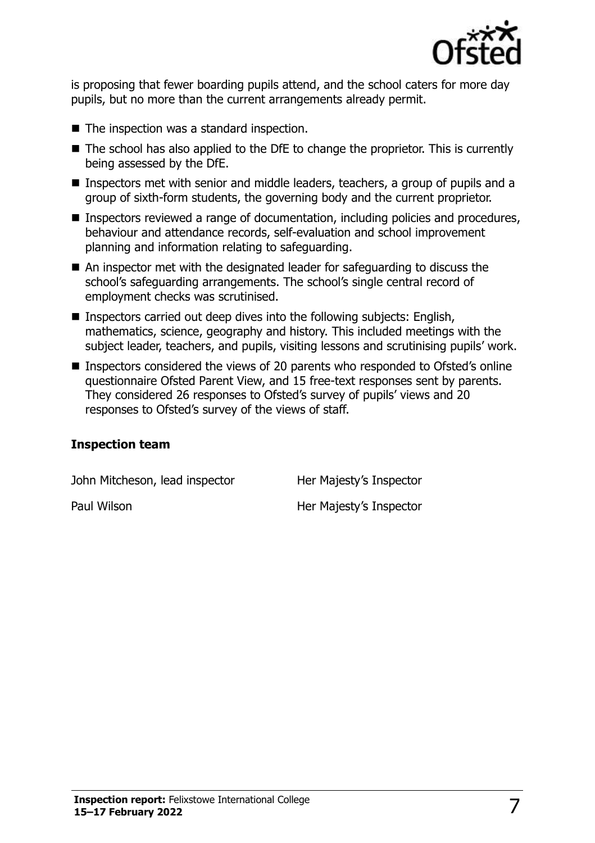

is proposing that fewer boarding pupils attend, and the school caters for more day pupils, but no more than the current arrangements already permit.

- The inspection was a standard inspection.
- The school has also applied to the DfE to change the proprietor. This is currently being assessed by the DfE.
- Inspectors met with senior and middle leaders, teachers, a group of pupils and a group of sixth-form students, the governing body and the current proprietor.
- Inspectors reviewed a range of documentation, including policies and procedures, behaviour and attendance records, self-evaluation and school improvement planning and information relating to safeguarding.
- An inspector met with the designated leader for safeguarding to discuss the school's safeguarding arrangements. The school's single central record of employment checks was scrutinised.
- Inspectors carried out deep dives into the following subjects: English, mathematics, science, geography and history. This included meetings with the subject leader, teachers, and pupils, visiting lessons and scrutinising pupils' work.
- Inspectors considered the views of 20 parents who responded to Ofsted's online questionnaire Ofsted Parent View, and 15 free-text responses sent by parents. They considered 26 responses to Ofsted's survey of pupils' views and 20 responses to Ofsted's survey of the views of staff.

#### **Inspection team**

John Mitcheson, lead inspector **Her Majesty's Inspector** 

Paul Wilson **Her Majesty's Inspector**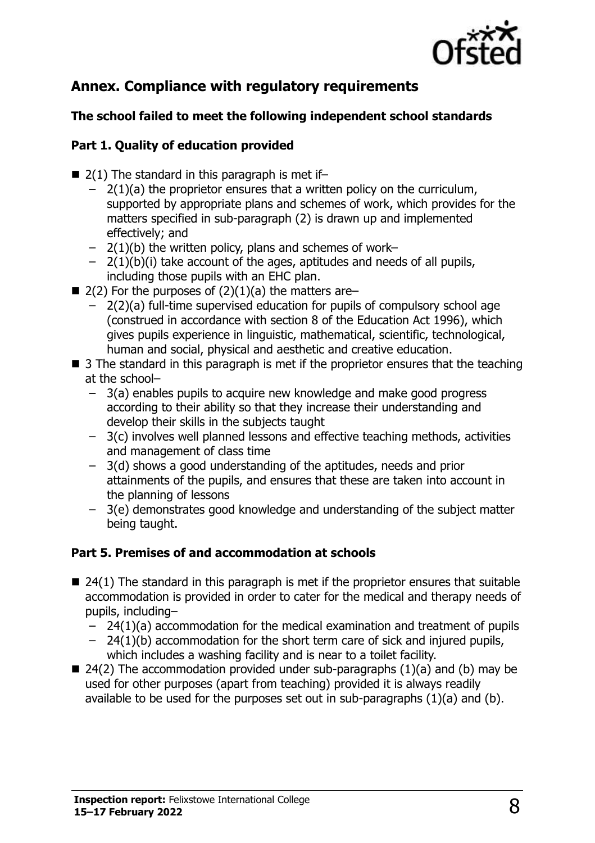

## **Annex. Compliance with regulatory requirements**

#### **The school failed to meet the following independent school standards**

#### **Part 1. Quality of education provided**

- $\blacksquare$  2(1) The standard in this paragraph is met if-
	- $-$  2(1)(a) the proprietor ensures that a written policy on the curriculum, supported by appropriate plans and schemes of work, which provides for the matters specified in sub-paragraph (2) is drawn up and implemented effectively; and
	- $-$  2(1)(b) the written policy, plans and schemes of work–
	- $-$  2(1)(b)(i) take account of the ages, aptitudes and needs of all pupils, including those pupils with an EHC plan.
- $\blacksquare$  2(2) For the purposes of (2)(1)(a) the matters are–
	- 2(2)(a) full-time supervised education for pupils of compulsory school age (construed in accordance with section 8 of the Education Act 1996), which gives pupils experience in linguistic, mathematical, scientific, technological, human and social, physical and aesthetic and creative education.
- $\blacksquare$  3 The standard in this paragraph is met if the proprietor ensures that the teaching at the school–
	- 3(a) enables pupils to acquire new knowledge and make good progress according to their ability so that they increase their understanding and develop their skills in the subjects taught
	- 3(c) involves well planned lessons and effective teaching methods, activities and management of class time
	- 3(d) shows a good understanding of the aptitudes, needs and prior attainments of the pupils, and ensures that these are taken into account in the planning of lessons
	- 3(e) demonstrates good knowledge and understanding of the subject matter being taught.

#### **Part 5. Premises of and accommodation at schools**

- $\blacksquare$  24(1) The standard in this paragraph is met if the proprietor ensures that suitable accommodation is provided in order to cater for the medical and therapy needs of pupils, including–
	- 24(1)(a) accommodation for the medical examination and treatment of pupils
	- 24(1)(b) accommodation for the short term care of sick and injured pupils, which includes a washing facility and is near to a toilet facility.
- $\blacksquare$  24(2) The accommodation provided under sub-paragraphs (1)(a) and (b) may be used for other purposes (apart from teaching) provided it is always readily available to be used for the purposes set out in sub-paragraphs (1)(a) and (b).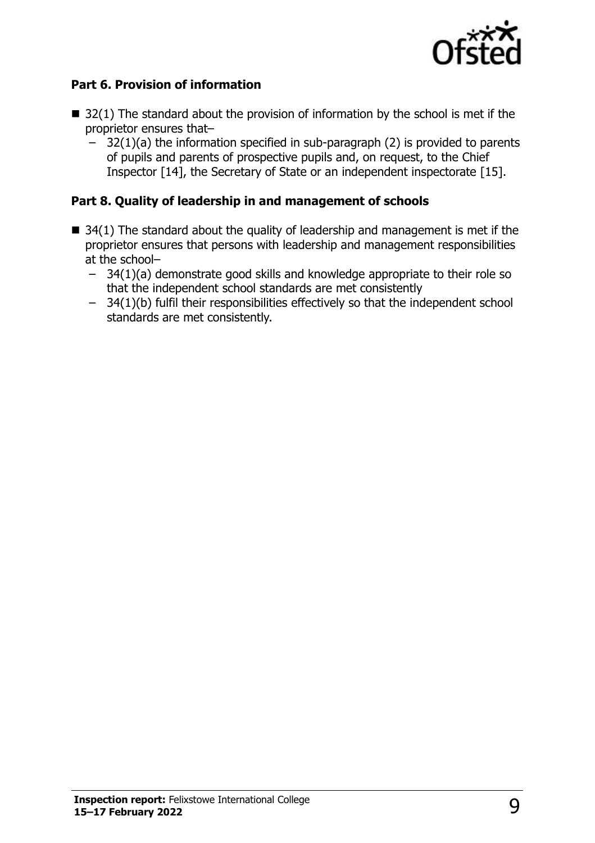

#### **Part 6. Provision of information**

- $\blacksquare$  32(1) The standard about the provision of information by the school is met if the proprietor ensures that–
	- $-$  32(1)(a) the information specified in sub-paragraph (2) is provided to parents of pupils and parents of prospective pupils and, on request, to the Chief Inspector [14], the Secretary of State or an independent inspectorate [15].

#### **Part 8. Quality of leadership in and management of schools**

- $\blacksquare$  34(1) The standard about the quality of leadership and management is met if the proprietor ensures that persons with leadership and management responsibilities at the school–
	- 34(1)(a) demonstrate good skills and knowledge appropriate to their role so that the independent school standards are met consistently
	- 34(1)(b) fulfil their responsibilities effectively so that the independent school standards are met consistently.